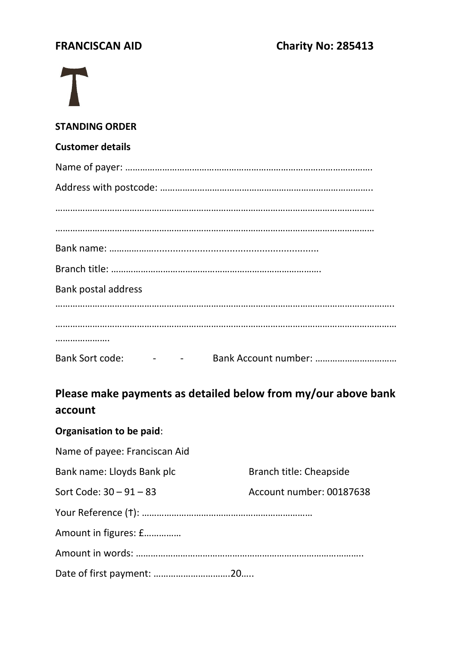### **STANDING ORDER**

### **Customer details**

| Bank postal address |  |
|---------------------|--|
|                     |  |
|                     |  |
|                     |  |
|                     |  |

# **Please make payments as detailed below from my/our above bank account**

## **Organisation to be paid**:

| Name of payee: Franciscan Aid |                          |
|-------------------------------|--------------------------|
| Bank name: Lloyds Bank plc    | Branch title: Cheapside  |
| Sort Code: $30 - 91 - 83$     | Account number: 00187638 |
|                               |                          |
| Amount in figures: £          |                          |
|                               |                          |
|                               |                          |